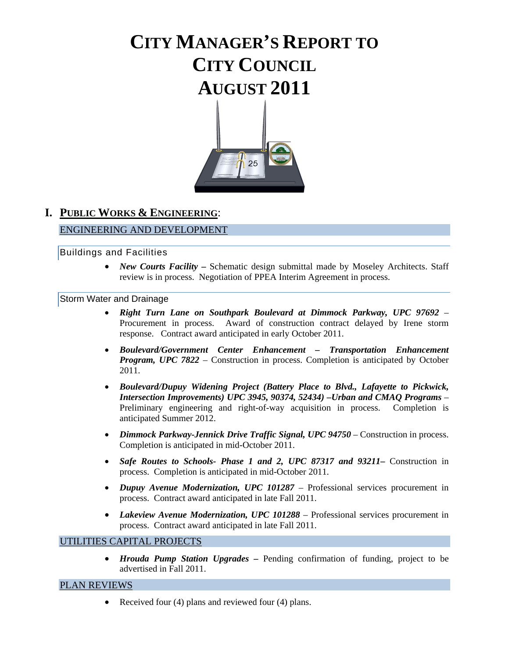# **CITY MANAGER'S REPORT TO CITY COUNCIL AUGUST 2011**



# **I. PUBLIC WORKS & ENGINEERING**:

# ENGINEERING AND DEVELOPMENT

### Buildings and Facilities

• *New Courts Facility – Schematic design submittal made by Moseley Architects. Staff* review is in process. Negotiation of PPEA Interim Agreement in process.

### Storm Water and Drainage

- *Right Turn Lane on Southpark Boulevard at Dimmock Parkway, UPC 97692* Procurement in process. Award of construction contract delayed by Irene storm response. Contract award anticipated in early October 2011.
- *Boulevard/Government Center Enhancement Transportation Enhancement Program, UPC 7822 –* Construction in process. Completion is anticipated by October 2011.
- *Boulevard/Dupuy Widening Project (Battery Place to Blvd., Lafayette to Pickwick, Intersection Improvements) UPC 3945, 90374, 52434) –Urban and CMAQ Programs* – Preliminary engineering and right-of-way acquisition in process. Completion is anticipated Summer 2012.
- *Dimmock Parkway-Jennick Drive Traffic Signal, UPC 94750* Construction in process. Completion is anticipated in mid-October 2011.
- *Safe Routes to Schools- Phase 1 and 2, UPC 87317 and 93211*Construction in process. Completion is anticipated in mid-October 2011.
- *Dupuy Avenue Modernization, UPC 101287*  Professional services procurement in process. Contract award anticipated in late Fall 2011.
- *Lakeview Avenue Modernization, UPC 101288* Professional services procurement in process. Contract award anticipated in late Fall 2011.

# UTILITIES CAPITAL PROJECTS

• *Hrouda Pump Station Upgrades –* Pending confirmation of funding, project to be advertised in Fall 2011.

### PLAN REVIEWS

• Received four (4) plans and reviewed four (4) plans.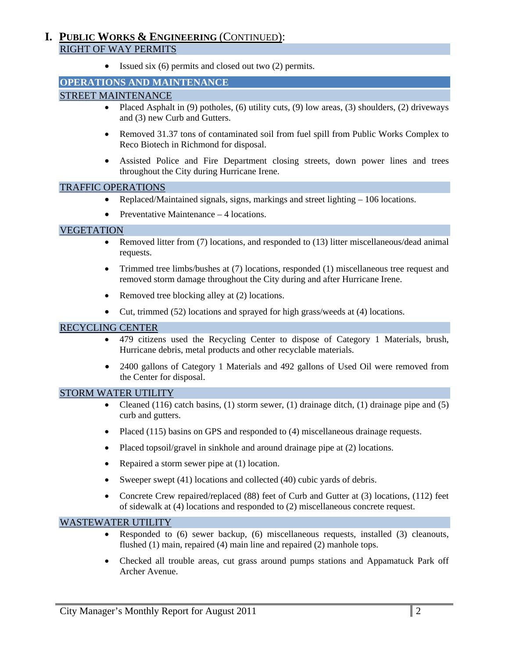# **I. PUBLIC WORKS & ENGINEERING** (CONTINUED): RIGHT OF WAY PERMITS

• Issued six (6) permits and closed out two (2) permits.

### **OPERATIONS AND MAINTENANCE**

### STREET MAINTENANCE

- Placed Asphalt in  $(9)$  potholes,  $(6)$  utility cuts,  $(9)$  low areas,  $(3)$  shoulders,  $(2)$  driveways and (3) new Curb and Gutters.
- Removed 31.37 tons of contaminated soil from fuel spill from Public Works Complex to Reco Biotech in Richmond for disposal.
- Assisted Police and Fire Department closing streets, down power lines and trees throughout the City during Hurricane Irene.

#### TRAFFIC OPERATIONS

- Replaced/Maintained signals, signs, markings and street lighting 106 locations.
- Preventative Maintenance 4 locations.

#### VEGETATION

- Removed litter from (7) locations, and responded to (13) litter miscellaneous/dead animal requests.
- Trimmed tree limbs/bushes at (7) locations, responded (1) miscellaneous tree request and removed storm damage throughout the City during and after Hurricane Irene.
- Removed tree blocking alley at (2) locations.
- Cut, trimmed (52) locations and sprayed for high grass/weeds at (4) locations.

### RECYCLING CENTER

- 479 citizens used the Recycling Center to dispose of Category 1 Materials, brush, Hurricane debris, metal products and other recyclable materials.
- 2400 gallons of Category 1 Materials and 492 gallons of Used Oil were removed from the Center for disposal.

#### STORM WATER UTILITY

- Cleaned (116) catch basins, (1) storm sewer, (1) drainage ditch, (1) drainage pipe and (5) curb and gutters.
- Placed (115) basins on GPS and responded to (4) miscellaneous drainage requests.
- Placed topsoil/gravel in sinkhole and around drainage pipe at (2) locations.
- Repaired a storm sewer pipe at (1) location.
- Sweeper swept (41) locations and collected (40) cubic yards of debris.
- Concrete Crew repaired/replaced (88) feet of Curb and Gutter at (3) locations, (112) feet of sidewalk at (4) locations and responded to (2) miscellaneous concrete request.

#### WASTEWATER UTILITY

- Responded to (6) sewer backup, (6) miscellaneous requests, installed (3) cleanouts, flushed (1) main, repaired (4) main line and repaired (2) manhole tops.
- Checked all trouble areas, cut grass around pumps stations and Appamatuck Park off Archer Avenue.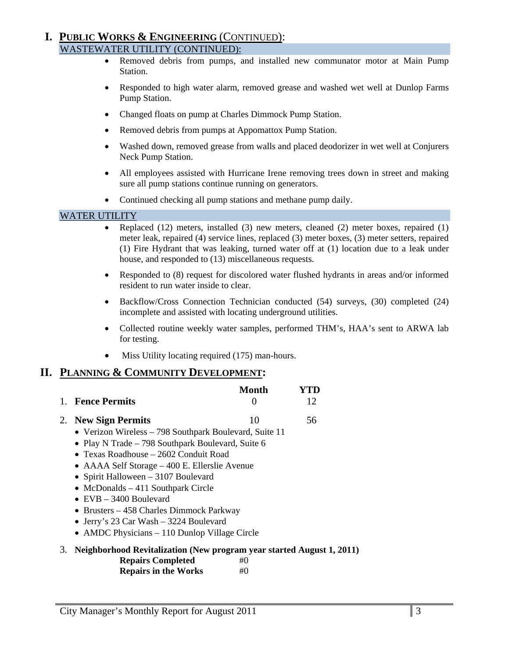### **I. PUBLIC WORKS & ENGINEERING** (CONTINUED): WASTEWATER UTILITY (CONTINUED):

- Removed debris from pumps, and installed new communator motor at Main Pump Station.
- Responded to high water alarm, removed grease and washed wet well at Dunlop Farms Pump Station.
- Changed floats on pump at Charles Dimmock Pump Station.
- Removed debris from pumps at Appomattox Pump Station.
- Washed down, removed grease from walls and placed deodorizer in wet well at Conjurers Neck Pump Station.
- All employees assisted with Hurricane Irene removing trees down in street and making sure all pump stations continue running on generators.
- Continued checking all pump stations and methane pump daily.

### WATER UTILITY

- Replaced (12) meters, installed (3) new meters, cleaned (2) meter boxes, repaired (1) meter leak, repaired (4) service lines, replaced (3) meter boxes, (3) meter setters, repaired (1) Fire Hydrant that was leaking, turned water off at (1) location due to a leak under house, and responded to (13) miscellaneous requests.
- Responded to (8) request for discolored water flushed hydrants in areas and/or informed resident to run water inside to clear.
- Backflow/Cross Connection Technician conducted (54) surveys, (30) completed (24) incomplete and assisted with locating underground utilities.
- Collected routine weekly water samples, performed THM's, HAA's sent to ARWA lab for testing.
- Miss Utility locating required (175) man-hours.

# **II. PLANNING & COMMUNITY DEVELOPMENT:**

| 1. Fence Permits                                                                                   | Month | YTD<br>12 |
|----------------------------------------------------------------------------------------------------|-------|-----------|
| 2. New Sign Permits                                                                                | 10    | 56        |
| • Verizon Wireless – 798 Southpark Boulevard, Suite 11                                             |       |           |
| • Play N Trade – 798 Southpark Boulevard, Suite 6                                                  |       |           |
| • Texas Roadhouse $-2602$ Conduit Road                                                             |       |           |
| • AAAA Self Storage – 400 E. Ellerslie Avenue                                                      |       |           |
| • Spirit Halloween $-3107$ Boulevard                                                               |       |           |
| • McDonalds $-411$ Southpark Circle                                                                |       |           |
| $\bullet$ EVB $-$ 3400 Boulevard                                                                   |       |           |
| • Brusters – 458 Charles Dimmock Parkway                                                           |       |           |
| $\overline{1}, \overline{1}, \overline{2}, \overline{1}, \overline{2}, \overline{3}, \overline{4}$ |       |           |

- Jerry's 23 Car Wash 3224 Boulevard
- AMDC Physicians 110 Dunlop Village Circle

### 3. **Neighborhood Revitalization (New program year started August 1, 2011)**

| <b>Repairs Completed</b>     | #0           |
|------------------------------|--------------|
| <b>D</b> angire in the Worke | $\pm \Omega$ |

**Repairs in the Works** #0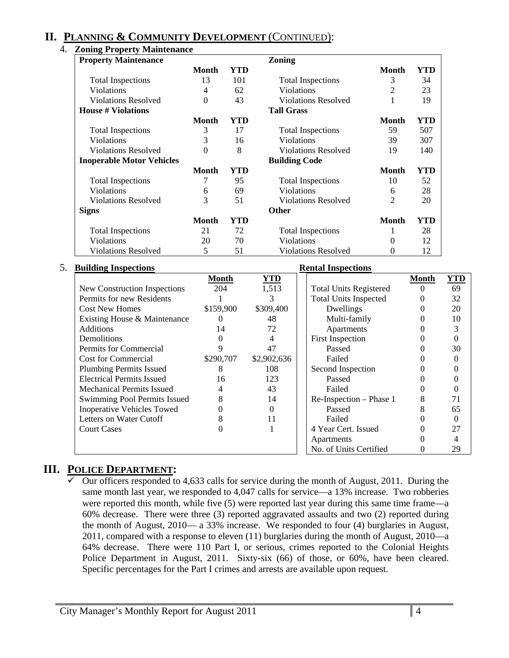# **II. PLANNING & COMMUNITY DEVELOPMENT** (CONTINUED):

| <b>Property Maintenance</b>      |              |     | Zoning                     |                |     |
|----------------------------------|--------------|-----|----------------------------|----------------|-----|
|                                  | <b>Month</b> | YTD |                            | <b>Month</b>   | YTD |
| <b>Total Inspections</b>         | 13           | 101 | <b>Total Inspections</b>   | 3              | 34  |
| <b>Violations</b>                | 4            | 62  | <b>Violations</b>          | 2              | 23  |
| <b>Violations Resolved</b>       | $\Omega$     | 43  | <b>Violations Resolved</b> |                | 19  |
| <b>House # Violations</b>        |              |     | <b>Tall Grass</b>          |                |     |
|                                  | <b>Month</b> | YTD |                            | <b>Month</b>   | YTD |
| <b>Total Inspections</b>         | 3            | 17  | <b>Total Inspections</b>   | 59             | 507 |
| <b>Violations</b>                | 3            | 16  | <b>Violations</b>          | 39             | 307 |
| <b>Violations Resolved</b>       | $\Omega$     | 8   | <b>Violations Resolved</b> | 19             | 140 |
| <b>Inoperable Motor Vehicles</b> |              |     | <b>Building Code</b>       |                |     |
|                                  | <b>Month</b> | YTD |                            | <b>Month</b>   | YTD |
| <b>Total Inspections</b>         | 7            | 95  | <b>Total Inspections</b>   | 10             | 52  |
| <b>Violations</b>                | 6            | 69  | <b>Violations</b>          | 6              | 28  |
| <b>Violations Resolved</b>       | 3            | 51  | <b>Violations Resolved</b> | $\overline{2}$ | 20  |
| <b>Signs</b>                     |              |     | <b>Other</b>               |                |     |
|                                  | <b>Month</b> | YTD |                            | <b>Month</b>   | YTD |
| <b>Total Inspections</b>         | 21           | 72  | <b>Total Inspections</b>   |                | 28  |
| Violations                       | 20           | 70  | Violations                 | 0              | 12  |
| <b>Violations Resolved</b>       | 5            | 51  | <b>Violations Resolved</b> | $\theta$       | 12  |

### 5. **Building Inspections Rental Inspections**

| Dunume mspecuoms                  |           |             | IWANGI TINJPECINAN            |       |     |
|-----------------------------------|-----------|-------------|-------------------------------|-------|-----|
|                                   | Month     | <u>YTD</u>  |                               | Month | YTD |
| New Construction Inspections      | 204       | 1,513       | <b>Total Units Registered</b> |       | 69  |
| Permits for new Residents         |           |             | <b>Total Units Inspected</b>  |       | 32  |
| <b>Cost New Homes</b>             | \$159,900 | \$309,400   | Dwellings                     |       | 20  |
| Existing House & Maintenance      |           | 48          | Multi-family                  |       | 10  |
| <b>Additions</b>                  | 14        | 72          | Apartments                    |       |     |
| Demolitions                       |           |             | <b>First Inspection</b>       |       |     |
| Permits for Commercial            |           | 47          | Passed                        |       | 30  |
| <b>Cost for Commercial</b>        | \$290,707 | \$2,902,636 | Failed                        |       |     |
| <b>Plumbing Permits Issued</b>    |           | 108         | Second Inspection             |       |     |
| <b>Electrical Permits Issued</b>  | 16        | 123         | Passed                        |       |     |
| <b>Mechanical Permits Issued</b>  |           | 43          | Failed                        |       |     |
| Swimming Pool Permits Issued      |           | 14          | Re-Inspection – Phase 1       |       | 71  |
| <b>Inoperative Vehicles Towed</b> |           |             | Passed                        |       | 65  |
| Letters on Water Cutoff           |           | 11          | Failed                        |       |     |
| <b>Court Cases</b>                |           |             | 4 Year Cert. Issued           |       | 27  |
|                                   |           |             | Apartments                    |       |     |
|                                   |           |             | No. of Units Certified        |       | 29  |

# **III. POLICE DEPARTMENT:**

 $\checkmark$  Our officers responded to 4,633 calls for service during the month of August, 2011. During the same month last year, we responded to 4,047 calls for service—a 13% increase. Two robberies were reported this month, while five (5) were reported last year during this same time frame—a 60% decrease. There were three (3) reported aggravated assaults and two (2) reported during the month of August, 2010— a 33% increase. We responded to four (4) burglaries in August, 2011, compared with a response to eleven (11) burglaries during the month of August, 2010—a 64% decrease. There were 110 Part I, or serious, crimes reported to the Colonial Heights Police Department in August, 2011. Sixty-six (66) of those, or 60%, have been cleared. Specific percentages for the Part I crimes and arrests are available upon request.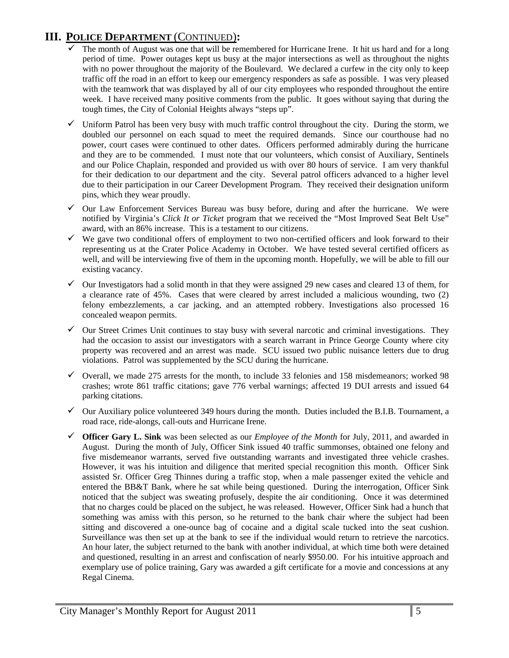# **III. POLICE DEPARTMENT** (CONTINUED)**:**

- The month of August was one that will be remembered for Hurricane Irene. It hit us hard and for a long period of time. Power outages kept us busy at the major intersections as well as throughout the nights with no power throughout the majority of the Boulevard. We declared a curfew in the city only to keep traffic off the road in an effort to keep our emergency responders as safe as possible. I was very pleased with the teamwork that was displayed by all of our city employees who responded throughout the entire week. I have received many positive comments from the public. It goes without saying that during the tough times, the City of Colonial Heights always "steps up".
- $\checkmark$  Uniform Patrol has been very busy with much traffic control throughout the city. During the storm, we doubled our personnel on each squad to meet the required demands. Since our courthouse had no power, court cases were continued to other dates. Officers performed admirably during the hurricane and they are to be commended. I must note that our volunteers, which consist of Auxiliary, Sentinels and our Police Chaplain, responded and provided us with over 80 hours of service. I am very thankful for their dedication to our department and the city. Several patrol officers advanced to a higher level due to their participation in our Career Development Program. They received their designation uniform pins, which they wear proudly.
- $\checkmark$  Our Law Enforcement Services Bureau was busy before, during and after the hurricane. We were notified by Virginia's *Click It or Ticket* program that we received the "Most Improved Seat Belt Use" award, with an 86% increase. This is a testament to our citizens.
- $\checkmark$  We gave two conditional offers of employment to two non-certified officers and look forward to their representing us at the Crater Police Academy in October. We have tested several certified officers as well, and will be interviewing five of them in the upcoming month. Hopefully, we will be able to fill our existing vacancy.
- $\checkmark$  Our Investigators had a solid month in that they were assigned 29 new cases and cleared 13 of them, for a clearance rate of 45%. Cases that were cleared by arrest included a malicious wounding, two (2) felony embezzlements, a car jacking, and an attempted robbery. Investigations also processed 16 concealed weapon permits.
- $\checkmark$  Our Street Crimes Unit continues to stay busy with several narcotic and criminal investigations. They had the occasion to assist our investigators with a search warrant in Prince George County where city property was recovered and an arrest was made. SCU issued two public nuisance letters due to drug violations. Patrol was supplemented by the SCU during the hurricane.
- $\checkmark$  Overall, we made 275 arrests for the month, to include 33 felonies and 158 misdemeanors; worked 98 crashes; wrote 861 traffic citations; gave 776 verbal warnings; affected 19 DUI arrests and issued 64 parking citations.
- $\checkmark$  Our Auxiliary police volunteered 349 hours during the month. Duties included the B.I.B. Tournament, a road race, ride-alongs, call-outs and Hurricane Irene.
- 9 **Officer Gary L. Sink** was been selected as our *Employee of the Month* for July, 2011, and awarded in August. During the month of July, Officer Sink issued 40 traffic summonses, obtained one felony and five misdemeanor warrants, served five outstanding warrants and investigated three vehicle crashes. However, it was his intuition and diligence that merited special recognition this month. Officer Sink assisted Sr. Officer Greg Thinnes during a traffic stop, when a male passenger exited the vehicle and entered the BB&T Bank, where he sat while being questioned. During the interrogation, Officer Sink noticed that the subject was sweating profusely, despite the air conditioning. Once it was determined that no charges could be placed on the subject, he was released. However, Officer Sink had a hunch that something was amiss with this person, so he returned to the bank chair where the subject had been sitting and discovered a one-ounce bag of cocaine and a digital scale tucked into the seat cushion. Surveillance was then set up at the bank to see if the individual would return to retrieve the narcotics. An hour later, the subject returned to the bank with another individual, at which time both were detained and questioned, resulting in an arrest and confiscation of nearly \$950.00. For his intuitive approach and exemplary use of police training, Gary was awarded a gift certificate for a movie and concessions at any Regal Cinema.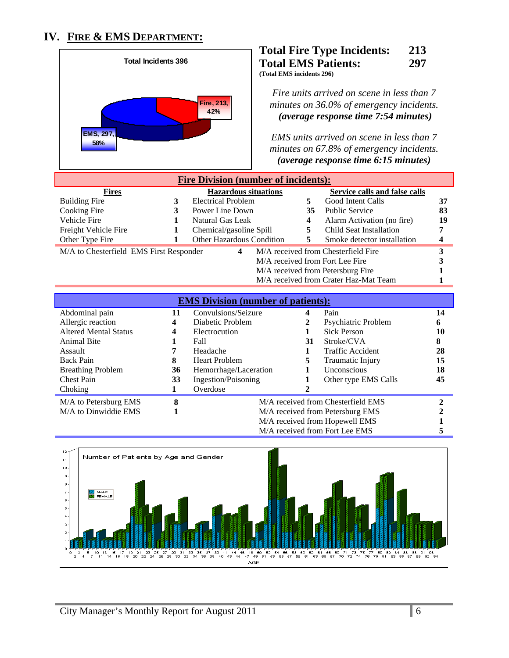# **IV. FIRE & EMS DEPARTMENT:**



### **Total Fire Type Incidents: 213 Total EMS Patients: 297 (Total EMS incidents 296)**

*Fire units arrived on scene in less than 7 minutes on 36.0% of emergency incidents.*  <sup>U</sup>*(average response time 7:54 minutes)*

*EMS units arrived on scene in less than 7 minutes on 67.8% of emergency incidents.*  <sup>U</sup>*(average response time 6:15 minutes)* 

| <b>Fire Division (number of incidents):</b> |  |                                          |  |    |                                       |    |
|---------------------------------------------|--|------------------------------------------|--|----|---------------------------------------|----|
| <b>Fires</b>                                |  | <b>Hazardous situations</b>              |  |    | Service calls and false calls         |    |
| <b>Building Fire</b>                        |  | <b>Electrical Problem</b>                |  | 5. | Good Intent Calls                     | 37 |
| Cooking Fire                                |  | Power Line Down                          |  | 35 | <b>Public Service</b>                 | 83 |
| Vehicle Fire                                |  | Natural Gas Leak                         |  | 4  | Alarm Activation (no fire)            | 19 |
| Freight Vehicle Fire                        |  | Chemical/gasoline Spill                  |  | 5  | Child Seat Installation               |    |
| Other Type Fire                             |  | <b>Other Hazardous Condition</b>         |  | 5. | Smoke detector installation           |    |
| M/A to Chesterfield EMS First Responder     |  | 4                                        |  |    | M/A received from Chesterfield Fire   |    |
|                                             |  |                                          |  |    | M/A received from Fort Lee Fire       |    |
|                                             |  |                                          |  |    | M/A received from Petersburg Fire     |    |
|                                             |  |                                          |  |    | M/A received from Crater Haz-Mat Team |    |
|                                             |  |                                          |  |    |                                       |    |
|                                             |  | <b>FMC Division (number of potients)</b> |  |    |                                       |    |

| <b>EMS Division (number of patients):</b> |    |                                     |      |                                    |    |  |  |  |
|-------------------------------------------|----|-------------------------------------|------|------------------------------------|----|--|--|--|
| Abdominal pain                            | 11 | Convulsions/Seizure                 | Pain |                                    |    |  |  |  |
| Allergic reaction                         | 4  | Diabetic Problem                    | 2    | Psychiatric Problem                | 6  |  |  |  |
| <b>Altered Mental Status</b>              | 4  | Electrocution                       |      | <b>Sick Person</b>                 | 10 |  |  |  |
| <b>Animal Bite</b>                        |    | Fall                                | 31   | Stroke/CVA                         | 8  |  |  |  |
| Assault                                   |    | Headache<br><b>Traffic Accident</b> |      |                                    | 28 |  |  |  |
| <b>Back Pain</b>                          | 8  | <b>Heart Problem</b>                | 5    | <b>Traumatic Injury</b>            | 15 |  |  |  |
| <b>Breathing Problem</b>                  | 36 | Hemorrhage/Laceration               |      | <i>Unconscious</i>                 | 18 |  |  |  |
| <b>Chest Pain</b>                         | 33 | Ingestion/Poisoning                 |      | Other type EMS Calls               | 45 |  |  |  |
| Choking                                   |    | Overdose                            |      |                                    |    |  |  |  |
| M/A to Petersburg EMS                     | 8  |                                     |      | M/A received from Chesterfield EMS |    |  |  |  |
| M/A to Dinwiddie EMS                      |    | M/A received from Petersburg EMS    |      |                                    |    |  |  |  |
|                                           |    |                                     |      | M/A received from Hopewell EMS     |    |  |  |  |
|                                           |    |                                     |      | M/A received from Fort Lee EMS     |    |  |  |  |

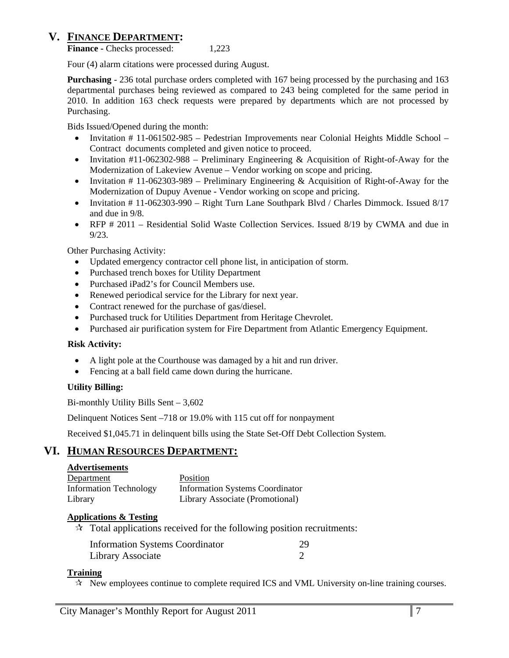# **V. FINANCE DEPARTMENT:**

**Finance - Checks processed:** 1,223

Four (4) alarm citations were processed during August.

**Purchasing** - 236 total purchase orders completed with 167 being processed by the purchasing and 163 departmental purchases being reviewed as compared to 243 being completed for the same period in 2010. In addition 163 check requests were prepared by departments which are not processed by Purchasing.

Bids Issued/Opened during the month:

- Invitation # 11-061502-985 Pedestrian Improvements near Colonial Heights Middle School Contract documents completed and given notice to proceed.
- Invitation  $\#11$ -062302-988 Preliminary Engineering & Acquisition of Right-of-Away for the Modernization of Lakeview Avenue – Vendor working on scope and pricing.
- Invitation  $\# 11$ -062303-989 Preliminary Engineering & Acquisition of Right-of-Away for the Modernization of Dupuy Avenue - Vendor working on scope and pricing.
- Invitation # 11-062303-990 Right Turn Lane Southpark Blvd / Charles Dimmock. Issued 8/17 and due in 9/8.
- RFP # 2011 Residential Solid Waste Collection Services. Issued 8/19 by CWMA and due in 9/23.

Other Purchasing Activity:

- Updated emergency contractor cell phone list, in anticipation of storm.
- Purchased trench boxes for Utility Department
- Purchased iPad2's for Council Members use.
- Renewed periodical service for the Library for next year.
- Contract renewed for the purchase of gas/diesel.
- Purchased truck for Utilities Department from Heritage Chevrolet.
- Purchased air purification system for Fire Department from Atlantic Emergency Equipment.

#### **Risk Activity:**

- A light pole at the Courthouse was damaged by a hit and run driver.
- Fencing at a ball field came down during the hurricane.

#### **Utility Billing:**

Bi-monthly Utility Bills Sent – 3,602

Delinquent Notices Sent –718 or 19.0% with 115 cut off for nonpayment

Received \$1,045.71 in delinquent bills using the State Set-Off Debt Collection System.

# **VI. HUMAN RESOURCES DEPARTMENT:**

#### **Advertisements**

| Department                    | Position                               |
|-------------------------------|----------------------------------------|
| <b>Information Technology</b> | <b>Information Systems Coordinator</b> |
| Library                       | Library Associate (Promotional)        |

#### **Applications & Testing**

 $\star$  Total applications received for the following position recruitments:

| <b>Information Systems Coordinator</b> | 29 |
|----------------------------------------|----|
| Library Associate                      |    |

#### **Training**

 $\mathcal{R}$  New employees continue to complete required ICS and VML University on-line training courses.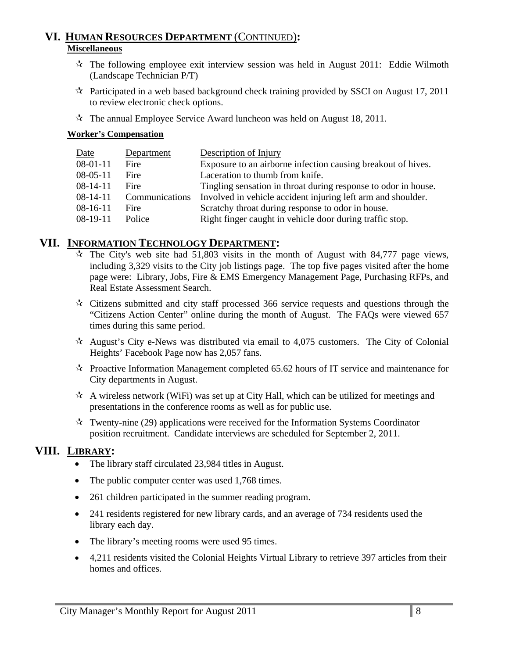# **VI. HUMAN RESOURCES DEPARTMENT** (CONTINUED)**: Miscellaneous**

- $\mathcal{R}$  The following employee exit interview session was held in August 2011: Eddie Wilmoth (Landscape Technician P/T)
- $\mathcal{R}$  Participated in a web based background check training provided by SSCI on August 17, 2011 to review electronic check options.
- $\mathcal{R}$  The annual Employee Service Award luncheon was held on August 18, 2011.

### **Worker's Compensation**

| Date           | Department     | Description of Injury                                          |
|----------------|----------------|----------------------------------------------------------------|
| $08-01-11$     | Fire           | Exposure to an airborne infection causing breakout of hives.   |
| $08-05-11$     | Fire           | Laceration to thumb from knife.                                |
| $08-14-11$     | Fire           | Tingling sensation in throat during response to odor in house. |
| $08 - 14 - 11$ | Communications | Involved in vehicle accident injuring left arm and shoulder.   |
| $08-16-11$     | Fire           | Scratchy throat during response to odor in house.              |
| $08-19-11$     | Police         | Right finger caught in vehicle door during traffic stop.       |

# **VII. INFORMATION TECHNOLOGY DEPARTMENT:**

- $\hat{x}$  The City's web site had 51,803 visits in the month of August with 84,777 page views, including 3,329 visits to the City job listings page. The top five pages visited after the home page were: Library, Jobs, Fire & EMS Emergency Management Page, Purchasing RFPs, and Real Estate Assessment Search.
- $\star$  Citizens submitted and city staff processed 366 service requests and questions through the "Citizens Action Center" online during the month of August. The FAQs were viewed 657 times during this same period.
- $\lambda$  August's City e-News was distributed via email to 4,075 customers. The City of Colonial Heights' Facebook Page now has 2,057 fans.
- $\mathcal{R}$  Proactive Information Management completed 65.62 hours of IT service and maintenance for City departments in August.
- $\mathcal{A}$  A wireless network (WiFi) was set up at City Hall, which can be utilized for meetings and presentations in the conference rooms as well as for public use.
- $\star$  Twenty-nine (29) applications were received for the Information Systems Coordinator position recruitment. Candidate interviews are scheduled for September 2, 2011.

# **VIII. LIBRARY:**

- The library staff circulated 23,984 titles in August.
- The public computer center was used 1,768 times.
- 261 children participated in the summer reading program.
- 241 residents registered for new library cards, and an average of 734 residents used the library each day.
- The library's meeting rooms were used 95 times.
- 4,211 residents visited the Colonial Heights Virtual Library to retrieve 397 articles from their homes and offices.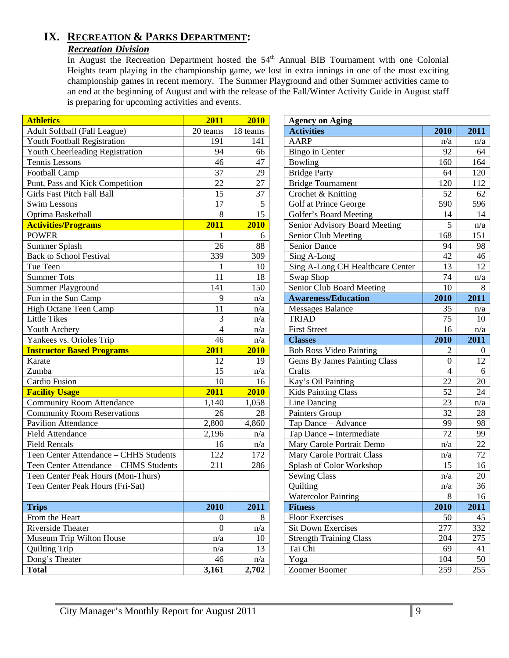# **IX. RECREATION & PARKS DEPARTMENT:**

# *Recreation Division*

In August the Recreation Department hosted the 54<sup>th</sup> Annual BIB Tournament with one Colonial Heights team playing in the championship game, we lost in extra innings in one of the most exciting championship games in recent memory. The Summer Playground and other Summer activities came to an end at the beginning of August and with the release of the Fall/Winter Activity Guide in August staff is preparing for upcoming activities and events. 

| <b>Athletics</b>                       | 2011             | 2010     | <b>Agency on Aging</b>              |                 |                  |
|----------------------------------------|------------------|----------|-------------------------------------|-----------------|------------------|
| Adult Softball (Fall League)           | 20 teams         | 18 teams | <b>Activities</b>                   | 2010            | 2011             |
| Youth Football Registration            | 191              | 141      | <b>AARP</b>                         | n/a             | n/a              |
| Youth Cheerleading Registration        | 94               | 66       | Bingo in Center                     | 92              | 64               |
| Tennis Lessons                         | 46               | 47       | Bowling                             | 160             | 164              |
| Football Camp                          | 37               | 29       | <b>Bridge Party</b>                 | 64              | 120              |
| Punt, Pass and Kick Competition        | $\overline{22}$  | 27       | Bridge Tournament                   | 120             | 112              |
| <b>Girls Fast Pitch Fall Ball</b>      | 15               | 37       | Crochet & Knitting                  | 52              | 62               |
| <b>Swim Lessons</b>                    | 17               | 5        | Golf at Prince George               | 590             | 596              |
| Optima Basketball                      | 8                | 15       | Golfer's Board Meeting              | 14              | 14               |
| <b>Activities/Programs</b>             | 2011             | 2010     | Senior Advisory Board Meeting       | 5               | n/a              |
| <b>POWER</b>                           | 1                | 6        | Senior Club Meeting                 | 168             | 151              |
| Summer Splash                          | 26               | 88       | Senior Dance                        | 94              | 98               |
| <b>Back to School Festival</b>         | 339              | 309      | Sing A-Long                         | 42              | 46               |
| Tue Teen                               | 1                | 10       | Sing A-Long CH Healthcare Center    | 13              | 12               |
| <b>Summer Tots</b>                     | 11               | 18       | Swap Shop                           | 74              | n/a              |
| Summer Playground                      | 141              | 150      | Senior Club Board Meeting           | 10              | 8                |
| Fun in the Sun Camp                    | 9                | n/a      | <b>Awareness/Education</b>          | 2010            | 2011             |
| High Octane Teen Camp                  | 11               | n/a      | <b>Messages Balance</b>             | 35              | n/a              |
| <b>Little Tikes</b>                    | 3                | n/a      | <b>TRIAD</b>                        | 75              | 10               |
| Youth Archery                          | $\overline{4}$   | n/a      | <b>First Street</b>                 | 16              | n/a              |
| Yankees vs. Orioles Trip               | 46               | n/a      | <b>Classes</b>                      | 2010            | 2011             |
| <b>Instructor Based Programs</b>       | 2011             | 2010     | <b>Bob Ross Video Painting</b>      | $\overline{2}$  | $\boldsymbol{0}$ |
| Karate                                 | 12               | 19       | <b>Gems By James Painting Class</b> | $\overline{0}$  | 12               |
| Zumba                                  | 15               | n/a      | Crafts                              | $\overline{4}$  | 6                |
| Cardio Fusion                          | 10               | 16       | Kay's Oil Painting                  | 22              | 20               |
| <b>Facility Usage</b>                  | 2011             | 2010     | <b>Kids Painting Class</b>          | 52              | 24               |
| <b>Community Room Attendance</b>       | 1,140            | 1,058    | Line Dancing                        | $\overline{23}$ | n/a              |
| <b>Community Room Reservations</b>     | 26               | 28       | Painters Group                      | 32              | 28               |
| Pavilion Attendance                    | 2,800            | 4,860    | Tap Dance - Advance                 | 99              | 98               |
| <b>Field Attendance</b>                | 2,196            | n/a      | Tap Dance - Intermediate            | 72              | 99               |
| <b>Field Rentals</b>                   | 16               | n/a      | Mary Carole Portrait Demo           | n/a             | 22               |
| Teen Center Attendance - CHHS Students | 122              | 172      | Mary Carole Portrait Class          | n/a             | 72               |
| Teen Center Attendance - CHMS Students | 211              | 286      | Splash of Color Workshop            | 15              | 16               |
| Teen Center Peak Hours (Mon-Thurs)     |                  |          | Sewing Class                        | n/a             | 20               |
| Teen Center Peak Hours (Fri-Sat)       |                  |          | Quilting                            | n/a             | 36               |
|                                        |                  |          | <b>Watercolor Painting</b>          | 8               | 16               |
| <b>Trips</b>                           | 2010             | 2011     | <b>Fitness</b>                      | 2010            | 2011             |
| From the Heart                         | $\overline{0}$   | 8        | <b>Floor Exercises</b>              | 50              | 45               |
| Riverside Theater                      | $\boldsymbol{0}$ | n/a      | <b>Sit Down Exercises</b>           | 277             | 332              |
| Museum Trip Wilton House               | n/a              | 10       | <b>Strength Training Class</b>      | 204             | 275              |
| <b>Quilting Trip</b>                   | n/a              | 13       | Tai Chi                             | 69              | 41               |
| Dong's Theater                         | 46               | n/a      | Yoga                                | 104             | 50               |
| <b>Total</b>                           | 3,161            | 2,702    | Zoomer Boomer                       | 259             | 255              |

| <b>Agency on Aging</b><br><b>Activities</b> | 2010           | 2011   |
|---------------------------------------------|----------------|--------|
| <b>AARP</b>                                 | n/a            | n/a    |
| Bingo in Center                             | 92             | 64     |
| Bowling                                     | 160            | 164    |
| <b>Bridge Party</b>                         | 64             | 120    |
| Bridge Tournament                           | 120            | 112    |
| Crochet & Knitting                          | 52             | 62     |
| Golf at Prince George                       | 590            | 596    |
| Golfer's Board Meeting                      | 14             | 14     |
| Senior Advisory Board Meeting               | 5              | n/a    |
| Senior Club Meeting                         | 168            | 151    |
| Senior Dance                                | 94             | 98     |
| Sing A-Long                                 | 42             | 46     |
| Sing A-Long CH Healthcare Center            | 13             | 12     |
| Swap Shop                                   | 74             | n/a    |
| Senior Club Board Meeting                   | 10             | 8      |
| <b>Awareness/Education</b>                  | 2010           | 2011   |
| <b>Messages Balance</b>                     | 35             | n/a    |
| <b>TRIAD</b>                                | 75             | 10     |
| <b>First Street</b>                         | 16             | n/a    |
| <b>Classes</b>                              | 2010           | 2011   |
| <b>Bob Ross Video Painting</b>              | 2              | 0      |
| <b>Gems By James Painting Class</b>         | $\theta$       | 12     |
| Crafts                                      | $\overline{4}$ | 6      |
| Kay's Oil Painting                          | 22             | 20     |
| <b>Kids Painting Class</b>                  | 52             | 24     |
| Line Dancing                                | 23             | n/a    |
| Painters Group                              | 32             | 28     |
| Tap Dance - Advance                         | 99             | 98     |
| Tap Dance - Intermediate                    | 72             | 99     |
| Mary Carole Portrait Demo                   | n/a            | 22     |
| Mary Carole Portrait Class                  | n/a            | 72     |
| Splash of Color Workshop                    | 15             | 16     |
| <b>Sewing Class</b>                         | n/a            | 20     |
| Quilting                                    | n/a            | 36     |
| <b>Watercolor Painting</b>                  | 8              | 16     |
| <b>Fitness</b>                              | 2010           | 2011   |
| <b>Floor Exercises</b>                      | 50             | 45     |
| <b>Sit Down Exercises</b>                   | 277            | 332    |
| <b>Strength Training Class</b>              | 204            | 275    |
| Tai Chi                                     | 69             | 41     |
| Yoga                                        | 104            | $50\,$ |
| Zoomer Boomer                               | 259            | 255    |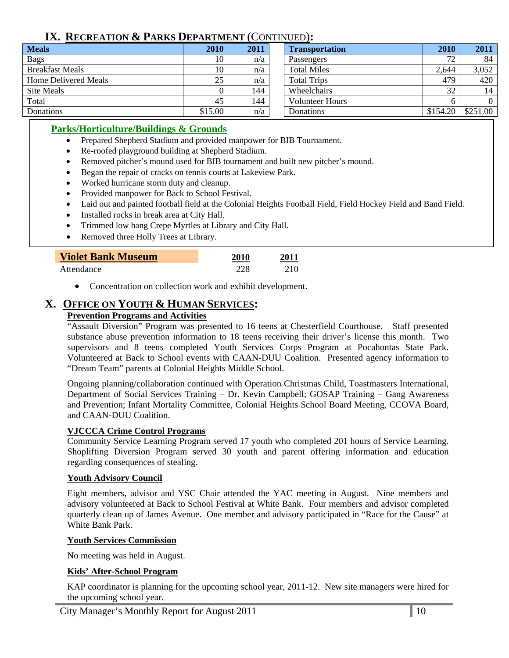# **IX. RECREATION & PARKS DEPARTMENT** (CONTINUED)**:**

| <b>Meals</b>           | 2010    | 2011 | <b>Transportation</b>  | <b>2010</b> | 2011     |
|------------------------|---------|------|------------------------|-------------|----------|
| <b>Bags</b>            | 10      | n/a  | Passengers             | 72          | 84       |
| <b>Breakfast Meals</b> | 10      | n/a  | <b>Total Miles</b>     | 2.644       | 3,052    |
| Home Delivered Meals   | 25      | n/a  | <b>Total Trips</b>     | 479         | 420      |
| Site Meals             |         | 144  | Wheelchairs            | 32          | 14       |
| Total                  | 45      | 144  | <b>Volunteer Hours</b> | h           | $\Omega$ |
| Donations              | \$15.00 | n/a  | Donations              | \$154.20    | \$251.00 |

### **Parks/Horticulture/Buildings & Grounds**

- Prepared Shepherd Stadium and provided manpower for BIB Tournament.
- Re-roofed playground building at Shepherd Stadium.
- Removed pitcher's mound used for BIB tournament and built new pitcher's mound.
- Began the repair of cracks on tennis courts at Lakeview Park.
- Worked hurricane storm duty and cleanup.
- Provided manpower for Back to School Festival.
- Laid out and painted football field at the Colonial Heights Football Field, Field Hockey Field and Band Field.

- Installed rocks in break area at City Hall.
- Trimmed low hang Crepe Myrtles at Library and City Hall.
- Removed three Holly Trees at Library.

| <b>Violet Bank Museum</b> | 2010 | 2011 |
|---------------------------|------|------|
| Attendance                | 228  | 210  |

• Concentration on collection work and exhibit development.

# **X. OFFICE ON YOUTH & HUMAN SERVICES:**

### **Prevention Programs and Activities**

"Assault Diversion" Program was presented to 16 teens at Chesterfield Courthouse. Staff presented substance abuse prevention information to 18 teens receiving their driver's license this month. Two supervisors and 8 teens completed Youth Services Corps Program at Pocahontas State Park. Volunteered at Back to School events with CAAN-DUU Coalition. Presented agency information to "Dream Team" parents at Colonial Heights Middle School.

Ongoing planning/collaboration continued with Operation Christmas Child, Toastmasters International, Department of Social Services Training – Dr. Kevin Campbell; GOSAP Training – Gang Awareness and Prevention; Infant Mortality Committee, Colonial Heights School Board Meeting, CCOVA Board, and CAAN-DUU Coalition.

### **VJCCCA Crime Control Programs**

Community Service Learning Program served 17 youth who completed 201 hours of Service Learning. Shoplifting Diversion Program served 30 youth and parent offering information and education regarding consequences of stealing.

#### **Youth Advisory Council**

Eight members, advisor and YSC Chair attended the YAC meeting in August. Nine members and advisory volunteered at Back to School Festival at White Bank. Four members and advisor completed quarterly clean up of James Avenue. One member and advisory participated in "Race for the Cause" at White Bank Park.

#### **Youth Services Commission**

No meeting was held in August.

### **Kids' After-School Program**

KAP coordinator is planning for the upcoming school year, 2011-12. New site managers were hired for the upcoming school year.